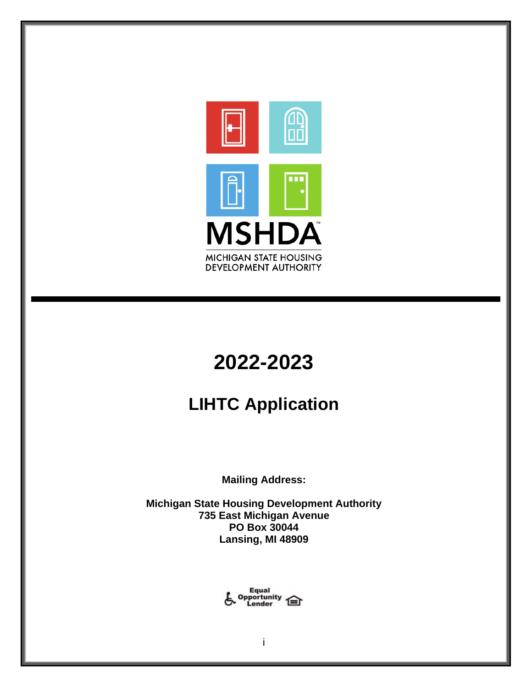

# **2022-2023**

## **LIHTC Application**

**Mailing Address:**

**Michigan State Housing Development Authority 735 East Michigan Avenue PO Box 30044 Lansing, MI 48909**

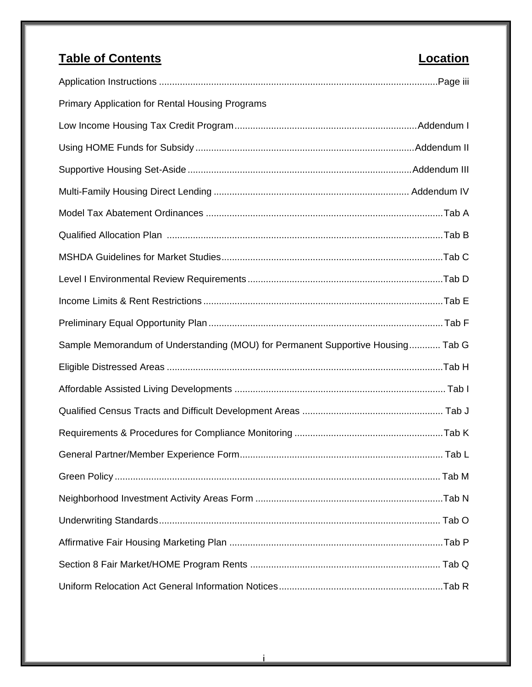## **Table of Contents Location** Application Instructions ...........................................................................................................Page iii Primary Application for Rental Housing Programs Low Income Housing Tax Credit Program......................................................................Addendum I Using HOME Funds for Subsidy ....................................................................................Addendum II Supportive Housing Set-Aside ......................................................................................Addendum III Multi-Family Housing Direct Lending ........................................................................... Addendum IV Model Tax Abatement Ordinances ...........................................................................................Tab A Qualified Allocation Plan ..........................................................................................................Tab B MSHDA Guidelines for Market Studies.....................................................................................Tab C Level I Environmental Review Requirements ...........................................................................Tab D Income Limits & Rent Restrictions ............................................................................................Tab E Preliminary Equal Opportunity Plan ..........................................................................................Tab F Sample Memorandum of Understanding (MOU) for Permanent Supportive Housing............ Tab G Eligible Distressed Areas ..........................................................................................................Tab H Affordable Assisted Living Developments ................................................................................. Tab I Qualified Census Tracts and Difficult Development Areas ...................................................... Tab J Requirements & Procedures for Compliance Monitoring .........................................................Tab K General Partner/Member Experience Form.............................................................................. Tab L Green Policy ............................................................................................................................. Tab M Neighborhood Investment Activity Areas Form ........................................................................Tab N Underwriting Standards............................................................................................................ Tab O Affirmative Fair Housing Marketing Plan ..................................................................................Tab P Section 8 Fair Market/HOME Program Rents ......................................................................... Tab Q Uniform Relocation Act General Information Notices...............................................................Tab R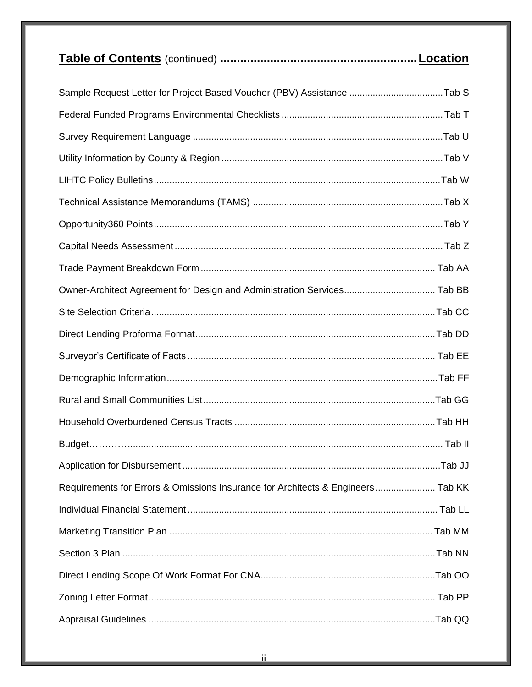|                                                                                 | Location |
|---------------------------------------------------------------------------------|----------|
| Sample Request Letter for Project Based Voucher (PBV) Assistance Tab S          |          |
|                                                                                 |          |
|                                                                                 |          |
|                                                                                 |          |
|                                                                                 |          |
|                                                                                 |          |
|                                                                                 |          |
|                                                                                 |          |
|                                                                                 |          |
| Owner-Architect Agreement for Design and Administration Services Tab BB         |          |
|                                                                                 |          |
|                                                                                 |          |
|                                                                                 |          |
|                                                                                 |          |
|                                                                                 |          |
|                                                                                 |          |
|                                                                                 |          |
|                                                                                 |          |
| Requirements for Errors & Omissions Insurance for Architects & Engineers Tab KK |          |
|                                                                                 |          |
|                                                                                 |          |
|                                                                                 |          |
|                                                                                 |          |
|                                                                                 |          |
|                                                                                 |          |